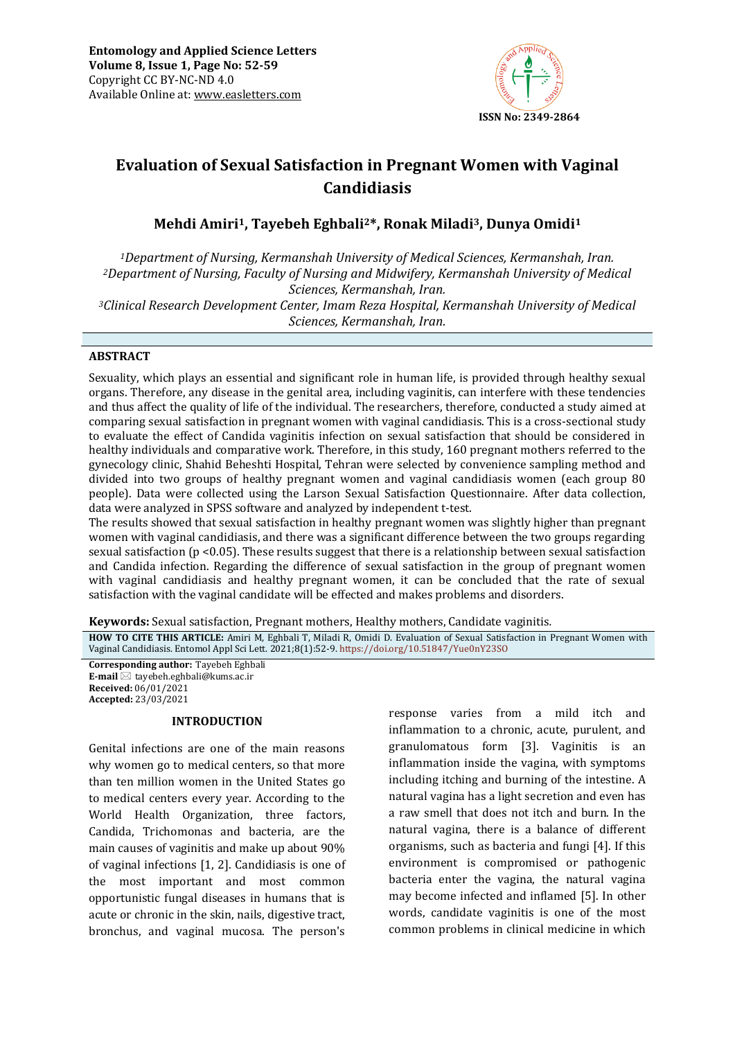

# **Evaluation of Sexual Satisfaction in Pregnant Women with Vaginal Candidiasis**

## **Mehdi Amiri1, Tayebeh Eghbali2\*, Ronak Miladi3, Dunya Omidi<sup>1</sup>**

*<sup>1</sup>Department of Nursing, Kermanshah University of Medical Sciences, Kermanshah, Iran. <sup>2</sup>Department of Nursing, Faculty of Nursing and Midwifery, Kermanshah University of Medical Sciences, Kermanshah, Iran. <sup>3</sup>Clinical Research Development Center, Imam Reza Hospital, Kermanshah University of Medical Sciences, Kermanshah, Iran.*

### **ABSTRACT**

Sexuality, which plays an essential and significant role in human life, is provided through healthy sexual organs. Therefore, any disease in the genital area, including vaginitis, can interfere with these tendencies and thus affect the quality of life of the individual. The researchers, therefore, conducted a study aimed at comparing sexual satisfaction in pregnant women with vaginal candidiasis. This is a cross-sectional study to evaluate the effect of Candida vaginitis infection on sexual satisfaction that should be considered in healthy individuals and comparative work. Therefore, in this study, 160 pregnant mothers referred to the gynecology clinic, Shahid Beheshti Hospital, Tehran were selected by convenience sampling method and divided into two groups of healthy pregnant women and vaginal candidiasis women (each group 80 people). Data were collected using the Larson Sexual Satisfaction Questionnaire. After data collection, data were analyzed in SPSS software and analyzed by independent t-test.

The results showed that sexual satisfaction in healthy pregnant women was slightly higher than pregnant women with vaginal candidiasis, and there was a significant difference between the two groups regarding sexual satisfaction (p <0.05). These results suggest that there is a relationship between sexual satisfaction and Candida infection. Regarding the difference of sexual satisfaction in the group of pregnant women with vaginal candidiasis and healthy pregnant women, it can be concluded that the rate of sexual satisfaction with the vaginal candidate will be effected and makes problems and disorders.

**Keywords:** Sexual satisfaction, Pregnant mothers, Healthy mothers, Candidate vaginitis*.*

**HOW TO CITE THIS ARTICLE:** Amiri M, Eghbali T, Miladi R, Omidi D. Evaluation of Sexual Satisfaction in Pregnant Women with Vaginal Candidiasis. Entomol Appl Sci Lett. 2021;8(1):52-9. <https://doi.org/10.51847/Yue0nY23SO>

**Corresponding author:** Tayebeh Eghbali **E-mail** ⊠ tayebeh.eghbali@kums.ac.ir **Received:** 06/01/2021 **Accepted:** 23/03/2021

#### **INTRODUCTION**

Genital infections are one of the main reasons why women go to medical centers, so that more than ten million women in the United States go to medical centers every year. According to the World Health Organization, three factors, Candida, Trichomonas and bacteria, are the main causes of vaginitis and make up about 90% of vaginal infections [1, 2]. Candidiasis is one of the most important and most common opportunistic fungal diseases in humans that is acute or chronic in the skin, nails, digestive tract, bronchus, and vaginal mucosa. The person's

response varies from a mild itch and inflammation to a chronic, acute, purulent, and granulomatous form [3]. Vaginitis is an inflammation inside the vagina, with symptoms including itching and burning of the intestine. A natural vagina has a light secretion and even has a raw smell that does not itch and burn. In the natural vagina, there is a balance of different organisms, such as bacteria and fungi [4]. If this environment is compromised or pathogenic bacteria enter the vagina, the natural vagina may become infected and inflamed [5]. In other words, candidate vaginitis is one of the most common problems in clinical medicine in which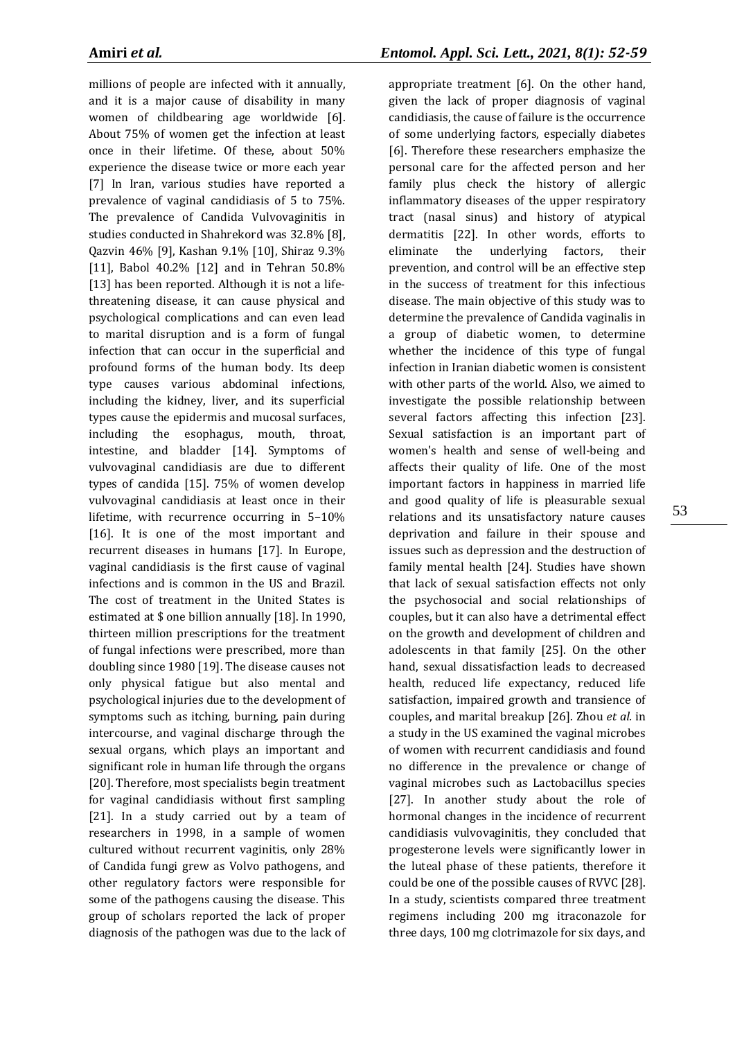millions of people are infected with it annually, and it is a major cause of disability in many women of childbearing age worldwide [6]. About 75% of women get the infection at least once in their lifetime. Of these, about 50% experience the disease twice or more each year [7] In Iran, various studies have reported a prevalence of vaginal candidiasis of 5 to 75%. The prevalence of Candida Vulvovaginitis in studies conducted in Shahrekord was 32.8% [8], Qazvin 46% [9], Kashan 9.1% [10], Shiraz 9.3% [11], Babol 40.2% [12] and in Tehran 50.8% [13] has been reported. Although it is not a lifethreatening disease, it can cause physical and psychological complications and can even lead to marital disruption and is a form of fungal infection that can occur in the superficial and profound forms of the human body. Its deep type causes various abdominal infections, including the kidney, liver, and its superficial types cause the epidermis and mucosal surfaces, including the esophagus, mouth, throat, intestine, and bladder [14]. Symptoms of vulvovaginal candidiasis are due to different types of candida [15]. 75% of women develop vulvovaginal candidiasis at least once in their lifetime, with recurrence occurring in 5–10% [16]. It is one of the most important and recurrent diseases in humans [17]. In Europe, vaginal candidiasis is the first cause of vaginal infections and is common in the US and Brazil. The cost of treatment in the United States is estimated at \$ one billion annually [18]. In 1990, thirteen million prescriptions for the treatment of fungal infections were prescribed, more than doubling since 1980 [19]. The disease causes not only physical fatigue but also mental and psychological injuries due to the development of symptoms such as itching, burning, pain during intercourse, and vaginal discharge through the sexual organs, which plays an important and significant role in human life through the organs [20]. Therefore, most specialists begin treatment for vaginal candidiasis without first sampling [21]. In a study carried out by a team of researchers in 1998, in a sample of women cultured without recurrent vaginitis, only 28% of Candida fungi grew as Volvo pathogens, and other regulatory factors were responsible for some of the pathogens causing the disease. This group of scholars reported the lack of proper diagnosis of the pathogen was due to the lack of appropriate treatment [6]. On the other hand, given the lack of proper diagnosis of vaginal candidiasis, the cause of failure is the occurrence of some underlying factors, especially diabetes [6]. Therefore these researchers emphasize the personal care for the affected person and her family plus check the history of allergic inflammatory diseases of the upper respiratory tract (nasal sinus) and history of atypical dermatitis [22]. In other words, efforts to eliminate the underlying factors, their prevention, and control will be an effective step in the success of treatment for this infectious disease. The main objective of this study was to determine the prevalence of Candida vaginalis in a group of diabetic women, to determine whether the incidence of this type of fungal infection in Iranian diabetic women is consistent with other parts of the world. Also, we aimed to investigate the possible relationship between several factors affecting this infection [23]. Sexual satisfaction is an important part of women's health and sense of well-being and affects their quality of life. One of the most important factors in happiness in married life and good quality of life is pleasurable sexual relations and its unsatisfactory nature causes deprivation and failure in their spouse and issues such as depression and the destruction of family mental health [24]. Studies have shown that lack of sexual satisfaction effects not only the psychosocial and social relationships of couples, but it can also have a detrimental effect on the growth and development of children and adolescents in that family [25]. On the other hand, sexual dissatisfaction leads to decreased health, reduced life expectancy, reduced life satisfaction, impaired growth and transience of couples, and marital breakup [26]. Zhou *et al.* in a study in the US examined the vaginal microbes of women with recurrent candidiasis and found no difference in the prevalence or change of vaginal microbes such as Lactobacillus species [27]. In another study about the role of hormonal changes in the incidence of recurrent candidiasis vulvovaginitis, they concluded that progesterone levels were significantly lower in the luteal phase of these patients, therefore it could be one of the possible causes of RVVC [28]. In a study, scientists compared three treatment regimens including 200 mg itraconazole for three days, 100 mg clotrimazole for six days, and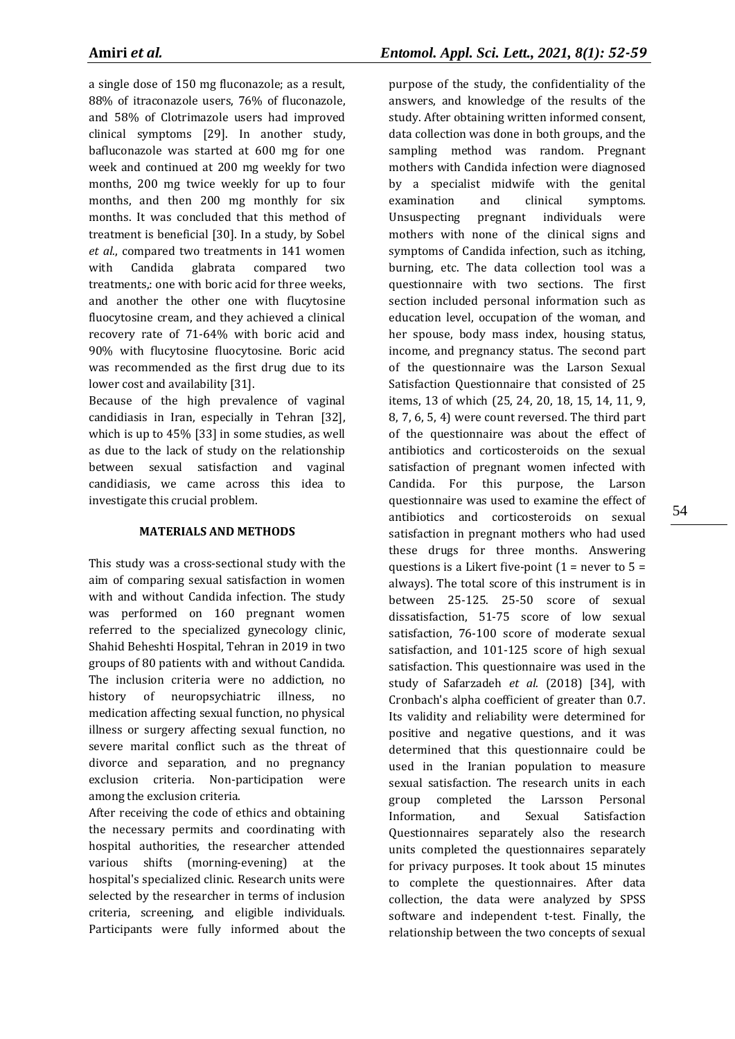a single dose of 150 mg fluconazole; as a result, 88% of itraconazole users, 76% of fluconazole, and 58% of Clotrimazole users had improved clinical symptoms [29]. In another study, bafluconazole was started at 600 mg for one week and continued at 200 mg weekly for two months, 200 mg twice weekly for up to four months, and then 200 mg monthly for six months. It was concluded that this method of treatment is beneficial [30]. In a study, by Sobel *et al.*, compared two treatments in 141 women with Candida glabrata compared two treatments,: one with boric acid for three weeks, and another the other one with flucytosine fluocytosine cream, and they achieved a clinical recovery rate of 71-64% with boric acid and 90% with flucytosine fluocytosine. Boric acid was recommended as the first drug due to its lower cost and availability [31].

Because of the high prevalence of vaginal candidiasis in Iran, especially in Tehran [32], which is up to 45% [33] in some studies, as well as due to the lack of study on the relationship between sexual satisfaction and vaginal candidiasis, we came across this idea to investigate this crucial problem.

#### **MATERIALS AND METHODS**

This study was a cross-sectional study with the aim of comparing sexual satisfaction in women with and without Candida infection. The study was performed on 160 pregnant women referred to the specialized gynecology clinic, Shahid Beheshti Hospital, Tehran in 2019 in two groups of 80 patients with and without Candida. The inclusion criteria were no addiction, no history of neuropsychiatric illness, no medication affecting sexual function, no physical illness or surgery affecting sexual function, no severe marital conflict such as the threat of divorce and separation, and no pregnancy exclusion criteria. Non-participation were among the exclusion criteria.

After receiving the code of ethics and obtaining the necessary permits and coordinating with hospital authorities, the researcher attended various shifts (morning-evening) at the hospital's specialized clinic. Research units were selected by the researcher in terms of inclusion criteria, screening, and eligible individuals. Participants were fully informed about the

purpose of the study, the confidentiality of the answers, and knowledge of the results of the study. After obtaining written informed consent, data collection was done in both groups, and the sampling method was random. Pregnant mothers with Candida infection were diagnosed by a specialist midwife with the genital examination and clinical symptoms. Unsuspecting pregnant individuals were mothers with none of the clinical signs and symptoms of Candida infection, such as itching, burning, etc. The data collection tool was a questionnaire with two sections. The first section included personal information such as education level, occupation of the woman, and her spouse, body mass index, housing status, income, and pregnancy status. The second part of the questionnaire was the Larson Sexual Satisfaction Questionnaire that consisted of 25 items, 13 of which (25, 24, 20, 18, 15, 14, 11, 9, 8, 7, 6, 5, 4) were count reversed. The third part of the questionnaire was about the effect of antibiotics and corticosteroids on the sexual satisfaction of pregnant women infected with Candida. For this purpose, the Larson questionnaire was used to examine the effect of antibiotics and corticosteroids on sexual satisfaction in pregnant mothers who had used these drugs for three months. Answering questions is a Likert five-point  $(1 =$  never to  $5 =$ always). The total score of this instrument is in between 25-125. 25-50 score of sexual dissatisfaction, 51-75 score of low sexual satisfaction, 76-100 score of moderate sexual satisfaction, and 101-125 score of high sexual satisfaction. This questionnaire was used in the study of Safarzadeh *et al.* (2018) [34], with Cronbach's alpha coefficient of greater than 0.7. Its validity and reliability were determined for positive and negative questions, and it was determined that this questionnaire could be used in the Iranian population to measure sexual satisfaction. The research units in each group completed the Larsson Personal Information, and Sexual Satisfaction Questionnaires separately also the research units completed the questionnaires separately for privacy purposes. It took about 15 minutes to complete the questionnaires. After data collection, the data were analyzed by SPSS software and independent t-test. Finally, the relationship between the two concepts of sexual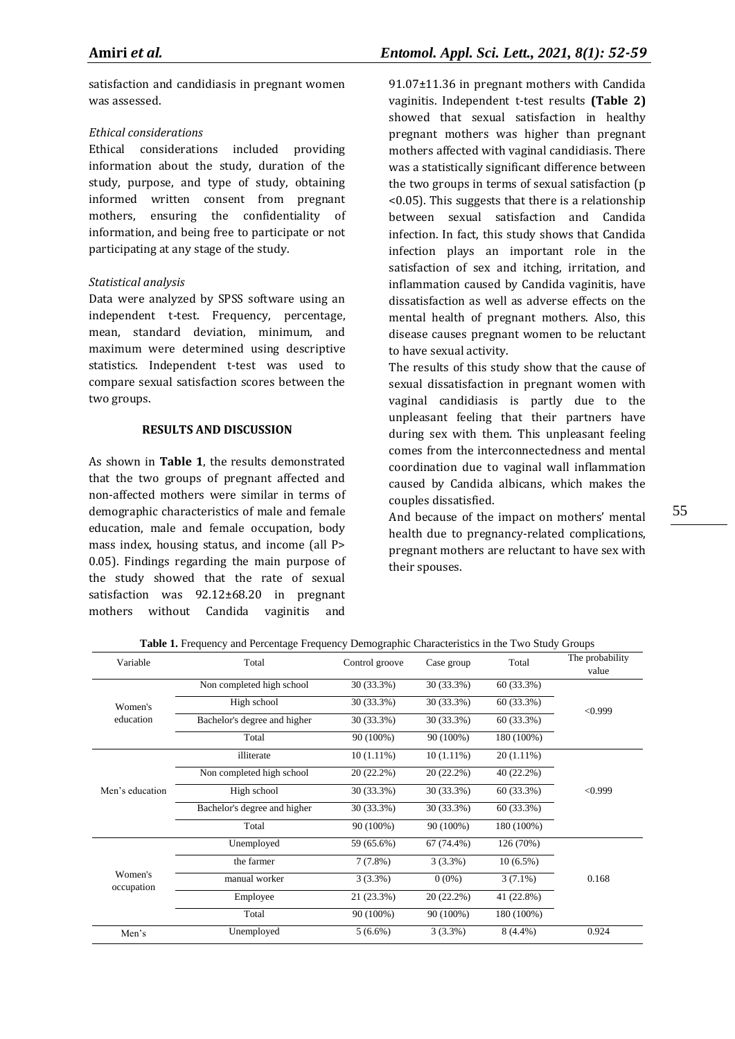satisfaction and candidiasis in pregnant women was assessed.

#### *Ethical considerations*

Ethical considerations included providing information about the study, duration of the study, purpose, and type of study, obtaining informed written consent from pregnant mothers, ensuring the confidentiality of information, and being free to participate or not participating at any stage of the study.

#### *Statistical analysis*

Data were analyzed by SPSS software using an independent t-test. Frequency, percentage, mean, standard deviation, minimum, and maximum were determined using descriptive statistics. Independent t-test was used to compare sexual satisfaction scores between the two groups.

#### **RESULTS AND DISCUSSION**

As shown in **Table 1**, the results demonstrated that the two groups of pregnant affected and non-affected mothers were similar in terms of demographic characteristics of male and female education, male and female occupation, body mass index, housing status, and income (all P> 0.05). Findings regarding the main purpose of the study showed that the rate of sexual satisfaction was 92.12±68.20 in pregnant mothers without Candida vaginitis and 91.07±11.36 in pregnant mothers with Candida vaginitis. Independent t-test results **(Table 2)** showed that sexual satisfaction in healthy pregnant mothers was higher than pregnant mothers affected with vaginal candidiasis. There was a statistically significant difference between the two groups in terms of sexual satisfaction (p <0.05). This suggests that there is a relationship between sexual satisfaction and Candida infection. In fact, this study shows that Candida infection plays an important role in the satisfaction of sex and itching, irritation, and inflammation caused by Candida vaginitis, have dissatisfaction as well as adverse effects on the mental health of pregnant mothers. Also, this disease causes pregnant women to be reluctant to have sexual activity.

The results of this study show that the cause of sexual dissatisfaction in pregnant women with vaginal candidiasis is partly due to the unpleasant feeling that their partners have during sex with them. This unpleasant feeling comes from the interconnectedness and mental coordination due to vaginal wall inflammation caused by Candida albicans, which makes the couples dissatisfied.

And because of the impact on mothers' mental health due to pregnancy-related complications, pregnant mothers are reluctant to have sex with their spouses.

| Variable              | Total                        | Control groove | Case group   | Total        | The probability<br>value |
|-----------------------|------------------------------|----------------|--------------|--------------|--------------------------|
| Women's<br>education  | Non completed high school    | 30 (33.3%)     | 30 (33.3%)   | 60 (33.3%)   | < 0.999                  |
|                       | High school                  | 30 (33.3%)     | 30 (33.3%)   | 60 (33.3%)   |                          |
|                       | Bachelor's degree and higher | 30 (33.3%)     | 30 (33.3%)   | 60 (33.3%)   |                          |
|                       | Total                        | 90 (100%)      | 90 (100%)    | 180 (100%)   |                          |
| Men's education       | illiterate                   | $10(1.11\%)$   | $10(1.11\%)$ | $20(1.11\%)$ | < 0.999                  |
|                       | Non completed high school    | 20 (22.2%)     | 20 (22.2%)   | 40 (22.2%)   |                          |
|                       | High school                  | 30 (33.3%)     | 30 (33.3%)   | 60 (33.3%)   |                          |
|                       | Bachelor's degree and higher | 30 (33.3%)     | 30 (33.3%)   | 60 (33.3%)   |                          |
|                       | Total                        | 90 (100%)      | 90 (100%)    | 180 (100%)   |                          |
| Women's<br>occupation | Unemployed                   | 59 (65.6%)     | $67(74.4\%)$ | 126 (70%)    | 0.168                    |
|                       | the farmer                   | $7(7.8\%)$     | $3(3.3\%)$   | $10(6.5\%)$  |                          |
|                       | manual worker                | $3(3.3\%)$     | $0(0\%)$     | $3(7.1\%)$   |                          |
|                       | Employee                     | 21 (23.3%)     | $20(22.2\%)$ | 41 (22.8%)   |                          |
|                       | Total                        | 90 (100%)      | 90 (100%)    | 180 (100%)   |                          |
| Men's                 | Unemployed                   | $5(6.6\%)$     | 3(3.3%)      | $8(4.4\%)$   | 0.924                    |

**Table 1.** Frequency and Percentage Frequency Demographic Characteristics in the Two Study Groups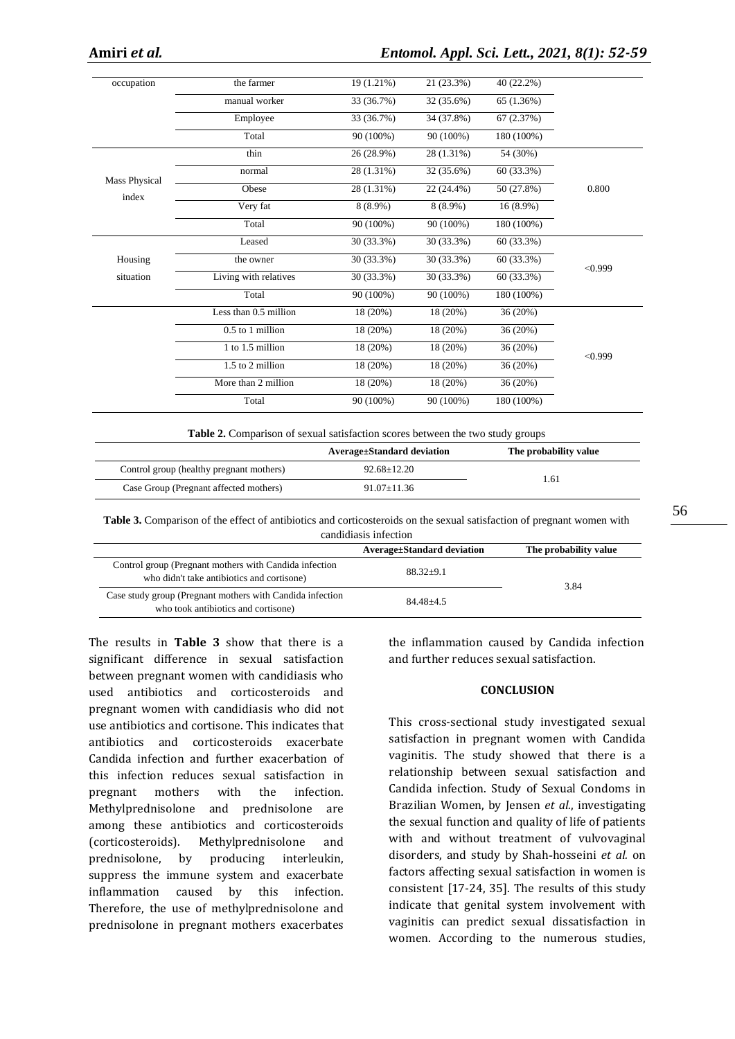| occupation                    | the farmer            | 19 (1.21%)   | 21 (23.3%) | 40 (22.2%)  |         |
|-------------------------------|-----------------------|--------------|------------|-------------|---------|
|                               | manual worker         | 33 (36.7%)   | 32 (35.6%) | 65 (1.36%)  |         |
|                               | Employee              | 33 (36.7%)   | 34 (37.8%) | 67(2.37%)   |         |
|                               | Total                 | 90 (100%)    | 90 (100%)  | 180 (100%)  |         |
|                               | thin                  | 26 (28.9%)   | 28 (1.31%) | 54 (30%)    |         |
|                               | normal                | 28 (1.31%)   | 32 (35.6%) | 60 (33.3%)  | 0.800   |
| <b>Mass Physical</b><br>index | Obese                 | 28 (1.31%)   | 22 (24.4%) | 50 (27.8%)  |         |
|                               | Very fat              | $8(8.9\%)$   | $8(8.9\%)$ | $16(8.9\%)$ |         |
|                               | Total                 | 90 (100%)    | 90 (100%)  | 180 (100%)  |         |
|                               | Leased                | 30 (33.3%)   | 30 (33.3%) | 60 (33.3%)  |         |
| Housing                       | the owner             | 30 (33.3%)   | 30 (33.3%) | 60 (33.3%)  | < 0.999 |
| situation                     | Living with relatives | $30(33.3\%)$ | 30 (33.3%) | 60 (33.3%)  |         |
|                               | Total                 | 90 (100%)    | 90 (100%)  | 180 (100%)  |         |
|                               | Less than 0.5 million | 18 (20%)     | 18 (20%)   | 36 (20%)    |         |
|                               | 0.5 to 1 million      | 18 (20%)     | 18 (20%)   | 36 (20%)    |         |
|                               | 1 to 1.5 million      | 18 (20%)     | 18 (20%)   | 36 (20%)    |         |
|                               | 1.5 to 2 million      | 18(20%)      | 18 (20%)   | 36 (20%)    | < 0.999 |
|                               | More than 2 million   | 18(20%)      | 18 (20%)   | 36 (20%)    |         |
|                               | Total                 | 90 (100%)    | 90 (100%)  | 180 (100%)  |         |

**Table 2.** Comparison of sexual satisfaction scores between the two study groups

|                                          | Average±Standard deviation | The probability value |
|------------------------------------------|----------------------------|-----------------------|
| Control group (healthy pregnant mothers) | $92.68 + 12.20$            |                       |
| Case Group (Pregnant affected mothers)   | $91.07 + 11.36$            | 1.61                  |

**Table 3.** Comparison of the effect of antibiotics and corticosteroids on the sexual satisfaction of pregnant women with candidiasis infection

|                                                                                                      | Average±Standard deviation | The probability value |  |
|------------------------------------------------------------------------------------------------------|----------------------------|-----------------------|--|
| Control group (Pregnant mothers with Candida infection<br>who didn't take antibiotics and cortisone) | $88.32+9.1$                | 3.84                  |  |
| Case study group (Pregnant mothers with Candida infection<br>who took antibiotics and cortisone)     | $84.48 + 4.5$              |                       |  |

The results in **Table 3** show that there is a significant difference in sexual satisfaction between pregnant women with candidiasis who used antibiotics and corticosteroids and pregnant women with candidiasis who did not use antibiotics and cortisone. This indicates that antibiotics and corticosteroids exacerbate Candida infection and further exacerbation of this infection reduces sexual satisfaction in pregnant mothers with the infection. Methylprednisolone and prednisolone are among these antibiotics and corticosteroids (corticosteroids). Methylprednisolone and prednisolone, by producing interleukin, suppress the immune system and exacerbate inflammation caused by this infection. Therefore, the use of methylprednisolone and prednisolone in pregnant mothers exacerbates the inflammation caused by Candida infection and further reduces sexual satisfaction.

#### **CONCLUSION**

This cross-sectional study investigated sexual satisfaction in pregnant women with Candida vaginitis. The study showed that there is a relationship between sexual satisfaction and Candida infection. Study of Sexual Condoms in Brazilian Women, by Jensen *et al.*, investigating the sexual function and quality of life of patients with and without treatment of vulvovaginal disorders, and study by Shah-hosseini *et al.* on factors affecting sexual satisfaction in women is consistent [17-24, 35]. The results of this study indicate that genital system involvement with vaginitis can predict sexual dissatisfaction in women. According to the numerous studies,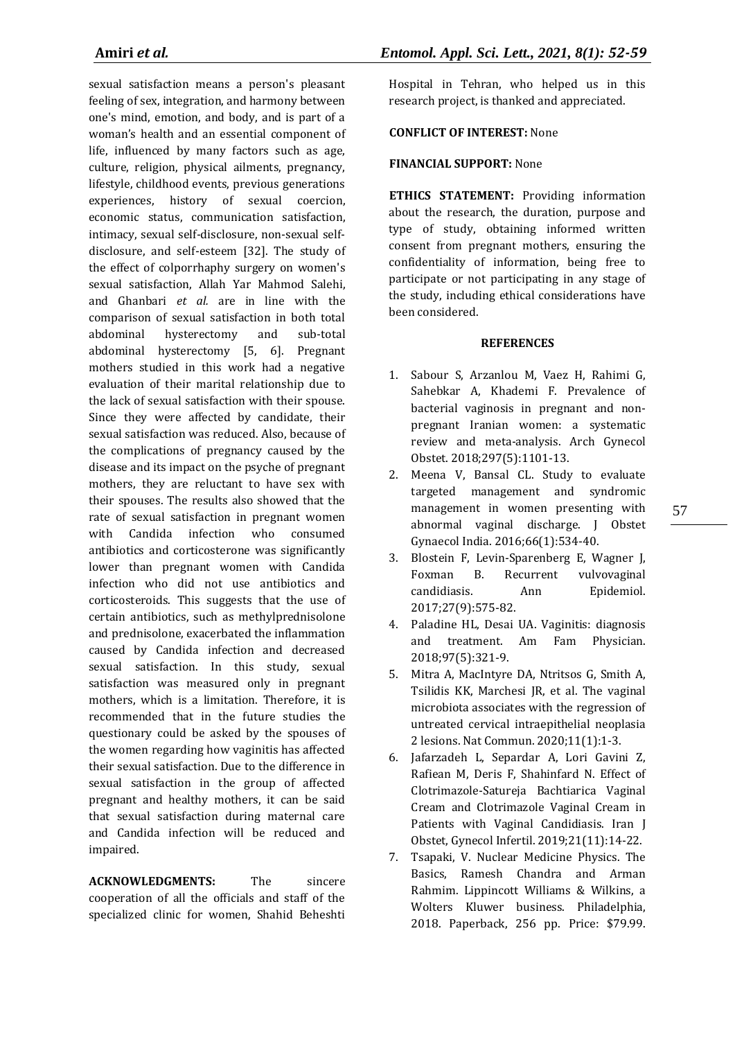sexual satisfaction means a person's pleasant feeling of sex, integration, and harmony between one's mind, emotion, and body, and is part of a woman's health and an essential component of life, influenced by many factors such as age, culture, religion, physical ailments, pregnancy, lifestyle, childhood events, previous generations experiences, history of sexual coercion, economic status, communication satisfaction, intimacy, sexual self-disclosure, non-sexual selfdisclosure, and self-esteem [32]. The study of the effect of colporrhaphy surgery on women's sexual satisfaction, Allah Yar Mahmod Salehi, and Ghanbari *et al.* are in line with the comparison of sexual satisfaction in both total abdominal hysterectomy and sub-total abdominal hysterectomy [5, 6]. Pregnant mothers studied in this work had a negative evaluation of their marital relationship due to the lack of sexual satisfaction with their spouse. Since they were affected by candidate, their sexual satisfaction was reduced. Also, because of the complications of pregnancy caused by the disease and its impact on the psyche of pregnant mothers, they are reluctant to have sex with their spouses. The results also showed that the rate of sexual satisfaction in pregnant women with Candida infection who consumed antibiotics and corticosterone was significantly lower than pregnant women with Candida infection who did not use antibiotics and corticosteroids. This suggests that the use of certain antibiotics, such as methylprednisolone and prednisolone, exacerbated the inflammation caused by Candida infection and decreased sexual satisfaction. In this study, sexual satisfaction was measured only in pregnant mothers, which is a limitation. Therefore, it is recommended that in the future studies the questionary could be asked by the spouses of the women regarding how vaginitis has affected their sexual satisfaction. Due to the difference in sexual satisfaction in the group of affected pregnant and healthy mothers, it can be said that sexual satisfaction during maternal care and Candida infection will be reduced and impaired.

**ACKNOWLEDGMENTS:** The sincere cooperation of all the officials and staff of the specialized clinic for women, Shahid Beheshti Hospital in Tehran, who helped us in this research project, is thanked and appreciated.

#### **CONFLICT OF INTEREST:** None

#### **FINANCIAL SUPPORT:** None

**ETHICS STATEMENT:** Providing information about the research, the duration, purpose and type of study, obtaining informed written consent from pregnant mothers, ensuring the confidentiality of information, being free to participate or not participating in any stage of the study, including ethical considerations have been considered.

#### **REFERENCES**

- 1. Sabour S, Arzanlou M, Vaez H, Rahimi G, Sahebkar A, Khademi F. Prevalence of bacterial vaginosis in pregnant and nonpregnant Iranian women: a systematic review and meta-analysis. Arch Gynecol Obstet. 2018;297(5):1101-13.
- 2. Meena V, Bansal CL. Study to evaluate targeted management and syndromic management in women presenting with abnormal vaginal discharge. J Obstet Gynaecol India. 2016;66(1):534-40.
- 3. Blostein F, Levin-Sparenberg E, Wagner J, Foxman B. Recurrent vulvovaginal candidiasis. Ann Epidemiol. 2017;27(9):575-82.
- 4. Paladine HL, Desai UA. Vaginitis: diagnosis and treatment. Am Fam Physician. 2018;97(5):321-9.
- 5. Mitra A, MacIntyre DA, Ntritsos G, Smith A, Tsilidis KK, Marchesi JR, et al. The vaginal microbiota associates with the regression of untreated cervical intraepithelial neoplasia 2 lesions. Nat Commun. 2020;11(1):1-3.
- 6. Jafarzadeh L, Separdar A, Lori Gavini Z, Rafiean M, Deris F, Shahinfard N. Effect of Clotrimazole-Satureja Bachtiarica Vaginal Cream and Clotrimazole Vaginal Cream in Patients with Vaginal Candidiasis. Iran J Obstet, Gynecol Infertil. 2019;21(11):14-22.
- 7. Tsapaki, V. Nuclear Medicine Physics. The Basics, Ramesh Chandra and Arman Rahmim. Lippincott Williams & Wilkins, a Wolters Kluwer business. Philadelphia, 2018. Paperback, 256 pp. Price: \$79.99.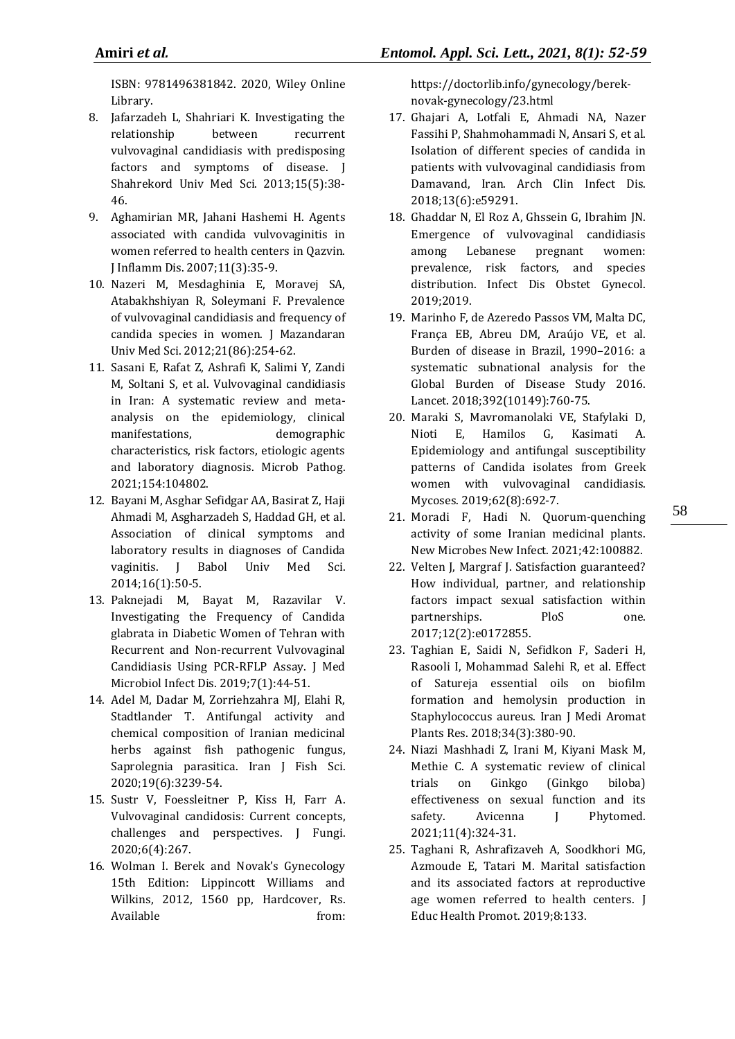ISBN: 9781496381842. 2020, Wiley Online Library.

- 8. Jafarzadeh L, Shahriari K. Investigating the relationship between recurrent vulvovaginal candidiasis with predisposing factors and symptoms of disease. J Shahrekord Univ Med Sci. 2013;15(5):38- 46.
- 9. Aghamirian MR, Jahani Hashemi H. Agents associated with candida vulvovaginitis in women referred to health centers in Qazvin. J Inflamm Dis. 2007;11(3):35-9.
- 10. Nazeri M, Mesdaghinia E, Moravej SA, Atabakhshiyan R, Soleymani F. Prevalence of vulvovaginal candidiasis and frequency of candida species in women. J Mazandaran Univ Med Sci. 2012;21(86):254-62.
- 11. Sasani E, Rafat Z, Ashrafi K, Salimi Y, Zandi M, Soltani S, et al. Vulvovaginal candidiasis in Iran: A systematic review and metaanalysis on the epidemiology, clinical manifestations, demographic characteristics, risk factors, etiologic agents and laboratory diagnosis. Microb Pathog. 2021;154:104802.
- 12. Bayani M, Asghar Sefidgar AA, Basirat Z, Haji Ahmadi M, Asgharzadeh S, Haddad GH, et al. Association of clinical symptoms and laboratory results in diagnoses of Candida vaginitis. J Babol Univ Med Sci. 2014;16(1):50-5.
- 13. Paknejadi M, Bayat M, Razavilar V. Investigating the Frequency of Candida glabrata in Diabetic Women of Tehran with Recurrent and Non-recurrent Vulvovaginal Candidiasis Using PCR-RFLP Assay. J Med Microbiol Infect Dis. 2019;7(1):44-51.
- 14. Adel M, Dadar M, Zorriehzahra MJ, Elahi R, Stadtlander T. Antifungal activity and chemical composition of Iranian medicinal herbs against fish pathogenic fungus, Saprolegnia parasitica. Iran J Fish Sci. 2020;19(6):3239-54.
- 15. Sustr V, Foessleitner P, Kiss H, Farr A. Vulvovaginal candidosis: Current concepts, challenges and perspectives. J Fungi. 2020;6(4):267.
- 16. Wolman I. Berek and Novak's Gynecology 15th Edition: Lippincott Williams and Wilkins, 2012, 1560 pp, Hardcover, Rs. Available from:

[https://doctorlib.info/gynecology/berek](https://doctorlib.info/gynecology/berek-novak-gynecology/23.html)[novak-gynecology/23.html](https://doctorlib.info/gynecology/berek-novak-gynecology/23.html)

- 17. Ghajari A, Lotfali E, Ahmadi NA, Nazer Fassihi P, Shahmohammadi N, Ansari S, et al. Isolation of different species of candida in patients with vulvovaginal candidiasis from Damavand, Iran. Arch Clin Infect Dis. 2018;13(6):e59291.
- 18. Ghaddar N, El Roz A, Ghssein G, Ibrahim JN. Emergence of vulvovaginal candidiasis among Lebanese pregnant women: prevalence, risk factors, and species distribution. Infect Dis Obstet Gynecol. 2019;2019.
- 19. Marinho F, de Azeredo Passos VM, Malta DC, França EB, Abreu DM, Araújo VE, et al. Burden of disease in Brazil, 1990–2016: a systematic subnational analysis for the Global Burden of Disease Study 2016. Lancet. 2018;392(10149):760-75.
- 20. Maraki S, Mavromanolaki VE, Stafylaki D, Nioti E, Hamilos G, Kasimati A. Epidemiology and antifungal susceptibility patterns of Candida isolates from Greek women with vulvovaginal candidiasis. Mycoses. 2019;62(8):692-7.
- 21. Moradi F, Hadi N. Quorum-quenching activity of some Iranian medicinal plants. New Microbes New Infect. 2021;42:100882.
- 22. Velten J, Margraf J. Satisfaction guaranteed? How individual, partner, and relationship factors impact sexual satisfaction within partnerships. PloS one. 2017;12(2):e0172855.
- 23. Taghian E, Saidi N, Sefidkon F, Saderi H, Rasooli I, Mohammad Salehi R, et al. Effect of Satureja essential oils on biofilm formation and hemolysin production in Staphylococcus aureus. Iran J Medi Aromat Plants Res. 2018;34(3):380-90.
- 24. Niazi Mashhadi Z, Irani M, Kiyani Mask M, Methie C. A systematic review of clinical trials on Ginkgo (Ginkgo biloba) effectiveness on sexual function and its safety. Avicenna J Phytomed. 2021;11(4):324-31.
- 25. Taghani R, Ashrafizaveh A, Soodkhori MG, Azmoude E, Tatari M. Marital satisfaction and its associated factors at reproductive age women referred to health centers. J Educ Health Promot. 2019;8:133.

58